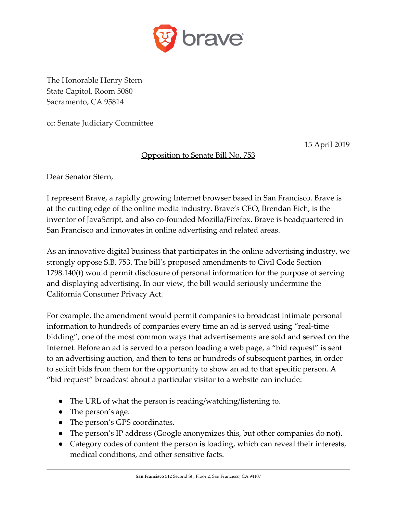

The Honorable Henry Stern State Capitol, Room 5080 Sacramento, CA 95814

cc: Senate Judiciary Committee

15 April 2019

## Opposition to Senate Bill No. 753

Dear Senator Stern,

I represent Brave, a rapidly growing Internet browser based in San Francisco. Brave is at the cutting edge of the online media industry. Brave's CEO, Brendan Eich, is the inventor of JavaScript, and also co-founded Mozilla/Firefox. Brave is headquartered in San Francisco and innovates in online advertising and related areas.

As an innovative digital business that participates in the online advertising industry, we strongly oppose S.B. 753. The bill's proposed amendments to Civil Code Section 1798.140(t) would permit disclosure of personal information for the purpose of serving and displaying advertising. In our view, the bill would seriously undermine the California Consumer Privacy Act.

For example, the amendment would permit companies to broadcast intimate personal information to hundreds of companies every time an ad is served using "real-time bidding", one of the most common ways that advertisements are sold and served on the Internet. Before an ad is served to a person loading a web page, a "bid request" is sent to an advertising auction, and then to tens or hundreds of subsequent parties, in order to solicit bids from them for the opportunity to show an ad to that specific person. A "bid request" broadcast about a particular visitor to a website can include:

- The URL of what the person is reading/watching/listening to.
- The person's age.
- The person's GPS coordinates.
- The person's IP address (Google anonymizes this, but other companies do not).
- Category codes of content the person is loading, which can reveal their interests, medical conditions, and other sensitive facts.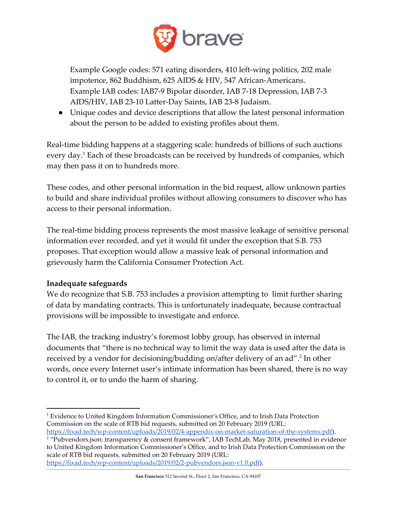

Example Google codes: 571 eating disorders, 410 left-wing politics, 202 male impotence, 862 Buddhism, 625 AIDS & HIV, 547 African-Americans. Example IAB codes: IAB7-9 Bipolar disorder, IAB 7-18 Depression, IAB 7-3 AIDS/HIV, IAB 23-10 Latter-Day Saints, IAB 23-8 Judaism.

● Unique codes and device descriptions that allow the latest personal information about the person to be added to existing profiles about them.

Real-time bidding happens at a staggering scale: hundreds of billions of such auctions every day.<sup>1</sup> Each of these broadcasts can be received by hundreds of companies, which may then pass it on to hundreds more.

These codes, and other personal information in the bid request, allow unknown parties to build and share individual profiles without allowing consumers to discover who has access to their personal information.

The real-time bidding process represents the most massive leakage of sensitive personal information ever recorded, and yet it would fit under the exception that S.B. 753 proposes. That exception would allow a massive leak of personal information and grievously harm the California Consumer Protection Act.

## **Inadequate safeguards**

We do recognize that S.B. 753 includes a provision attempting to limit further sharing of data by mandating contracts. This is unfortunately inadequate, because contractual provisions will be impossible to investigate and enforce.

The IAB, the tracking industry's foremost lobby group, has observed in internal documents that "there is no technical way to limit the way data is used after the data is received by a vendor for decisioning/budding on/after delivery of an ad".<sup>2</sup> In other words, once every Internet user's intimate information has been shared, there is no way to control it, or to undo the harm of sharing.

<https://fixad.tech/wp-content/uploads/2019/02/2-pubvendors.json-v1.0.pdf>).

<sup>&</sup>lt;sup>1</sup> Evidence to United Kingdom Information Commissioner's Office, and to Irish Data Protection Commission on the scale of RTB bid requests, submitted on 20 February 2019 (URL:

<https://fixad.tech/wp-content/uploads/2019/02/4-appendix-on-market-saturation-of-the-systems.pdf>).

<sup>&</sup>lt;sup>2</sup> "Pubvendors.json: transparency & consent framework", IAB TechLab, May 2018, presented in evidence to United Kingdom Information Commissioner's Office, and to Irish Data Protection Commission on the scale of RTB bid requests, submitted on 20 February 2019 (URL: